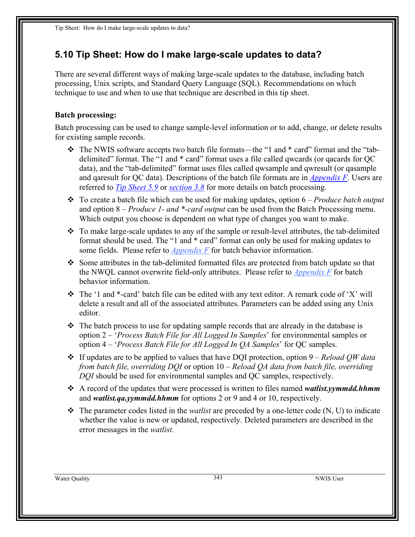## **5.10 Tip Sheet: How do I make large-scale updates to data?**

There are several different ways of making large-scale updates to the database, including batch processing, Unix scripts, and Standard Query Language (SQL). Recommendations on which technique to use and when to use that technique are described in this tip sheet.

## **Batch processing:**

Batch processing can be used to change sample-level information or to add, change, or delete results for existing sample records.

- \* The NWIS software accepts two batch file formats—the "1 and \* card" format and the "tabdelimited" format. The "1 and \* card" format uses a file called qwcards (or qacards for QC data), and the "tab-delimited" format uses files called qwsample and qwresult (or qasample and qaresult for QC data). Descriptions of the batch file formats are in *Appendix F*. Users are referred to *Tip Sheet 5.9* or *section 3.8* for more details on batch processing.
- To create a batch file which can be used for making updates, option 6 *Produce batch output* and option 8 – *Produce 1- and \*-card output* can be used from the Batch Processing menu. Which output you choose is dependent on what type of changes you want to make.
- \* To make large-scale updates to any of the sample or result-level attributes, the tab-delimited format should be used. The "1 and \* card" format can only be used for making updates to some fields. Please refer to *Appendix F* for batch behavior information.
- $\div$  Some attributes in the tab-delimited formatted files are protected from batch update so that the NWQL cannot overwrite field-only attributes. Please refer to *Appendix F* for batch behavior information.
- $\div$  The '1 and  $*$ -card' batch file can be edited with any text editor. A remark code of 'X' will delete a result and all of the associated attributes. Parameters can be added using any Unix editor.
- $\div$  The batch process to use for updating sample records that are already in the database is option 2 – '*Process Batch File for All Logged In Samples*' for environmental samples or option 4 – '*Process Batch File for All Logged In QA Samples*' for QC samples.
- If updates are to be applied to values that have DQI protection, option 9 *Reload QW data from batch file, overriding DQI* or option 10 – *Reload QA data from batch file, overriding DQI* should be used for environmental samples and QC samples, respectively.
- A record of the updates that were processed is written to files named *watlist.yymmdd.hhmm* and *watlist.qa.yymmdd.hhmm* for options 2 or 9 and 4 or 10, respectively.
- The parameter codes listed in the *watlist* are preceded by a one-letter code (N, U) to indicate whether the value is new or updated, respectively. Deleted parameters are described in the error messages in the *watlist*.

Water Quality **343** NWIS User